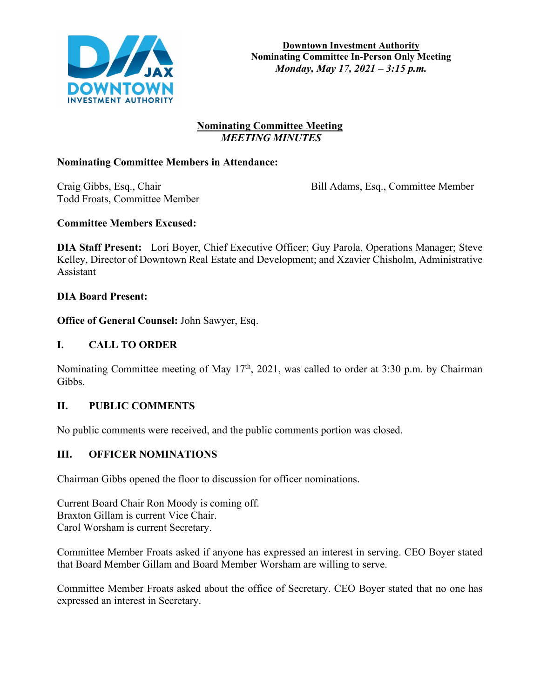

## **Nominating Committee Meeting**  *MEETING MINUTES*

## **Nominating Committee Members in Attendance:**

Todd Froats, Committee Member

Craig Gibbs, Esq., Chair Bill Adams, Esq., Committee Member

## **Committee Members Excused:**

**DIA Staff Present:** Lori Boyer, Chief Executive Officer; Guy Parola, Operations Manager; Steve Kelley, Director of Downtown Real Estate and Development; and Xzavier Chisholm, Administrative Assistant

#### **DIA Board Present:**

**Office of General Counsel:** John Sawyer, Esq.

## **I. CALL TO ORDER**

Nominating Committee meeting of May  $17<sup>th</sup>$ , 2021, was called to order at 3:30 p.m. by Chairman Gibbs.

## **II. PUBLIC COMMENTS**

No public comments were received, and the public comments portion was closed.

## **III. OFFICER NOMINATIONS**

Chairman Gibbs opened the floor to discussion for officer nominations.

Current Board Chair Ron Moody is coming off. Braxton Gillam is current Vice Chair. Carol Worsham is current Secretary.

Committee Member Froats asked if anyone has expressed an interest in serving. CEO Boyer stated that Board Member Gillam and Board Member Worsham are willing to serve.

Committee Member Froats asked about the office of Secretary. CEO Boyer stated that no one has expressed an interest in Secretary.